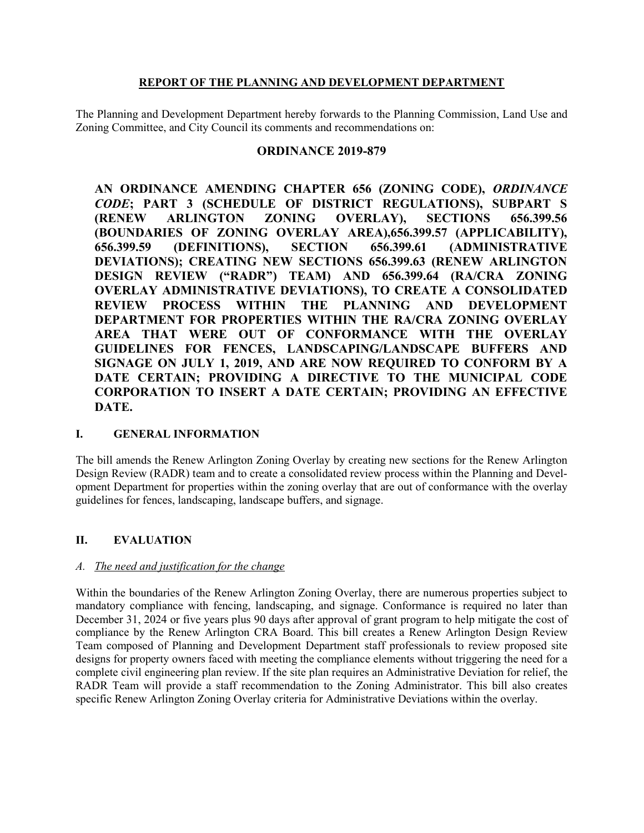### REPORT OF THE PLANNING AND DEVELOPMENT DEPARTMENT

The Planning and Development Department hereby forwards to the Planning Commission, Land Use and Zoning Committee, and City Council its comments and recommendations on:

## ORDINANCE 2019-879

AN ORDINANCE AMENDING CHAPTER 656 (ZONING CODE), ORDINANCE CODE; PART 3 (SCHEDULE OF DISTRICT REGULATIONS), SUBPART S (RENEW ARLINGTON ZONING OVERLAY), SECTIONS 656.399.56 (BOUNDARIES OF ZONING OVERLAY AREA),656.399.57 (APPLICABILITY), 656.399.59 (DEFINITIONS), SECTION 656.399.61 (ADMINISTRATIVE DEVIATIONS); CREATING NEW SECTIONS 656.399.63 (RENEW ARLINGTON DESIGN REVIEW ("RADR") TEAM) AND 656.399.64 (RA/CRA ZONING OVERLAY ADMINISTRATIVE DEVIATIONS), TO CREATE A CONSOLIDATED REVIEW PROCESS WITHIN THE PLANNING AND DEVELOPMENT DEPARTMENT FOR PROPERTIES WITHIN THE RA/CRA ZONING OVERLAY AREA THAT WERE OUT OF CONFORMANCE WITH THE OVERLAY GUIDELINES FOR FENCES, LANDSCAPING/LANDSCAPE BUFFERS AND SIGNAGE ON JULY 1, 2019, AND ARE NOW REQUIRED TO CONFORM BY A DATE CERTAIN; PROVIDING A DIRECTIVE TO THE MUNICIPAL CODE CORPORATION TO INSERT A DATE CERTAIN; PROVIDING AN EFFECTIVE DATE.

## I. GENERAL INFORMATION

The bill amends the Renew Arlington Zoning Overlay by creating new sections for the Renew Arlington Design Review (RADR) team and to create a consolidated review process within the Planning and Development Department for properties within the zoning overlay that are out of conformance with the overlay guidelines for fences, landscaping, landscape buffers, and signage.

#### II. EVALUATION

#### A. The need and justification for the change

Within the boundaries of the Renew Arlington Zoning Overlay, there are numerous properties subject to mandatory compliance with fencing, landscaping, and signage. Conformance is required no later than December 31, 2024 or five years plus 90 days after approval of grant program to help mitigate the cost of compliance by the Renew Arlington CRA Board. This bill creates a Renew Arlington Design Review Team composed of Planning and Development Department staff professionals to review proposed site designs for property owners faced with meeting the compliance elements without triggering the need for a complete civil engineering plan review. If the site plan requires an Administrative Deviation for relief, the RADR Team will provide a staff recommendation to the Zoning Administrator. This bill also creates specific Renew Arlington Zoning Overlay criteria for Administrative Deviations within the overlay.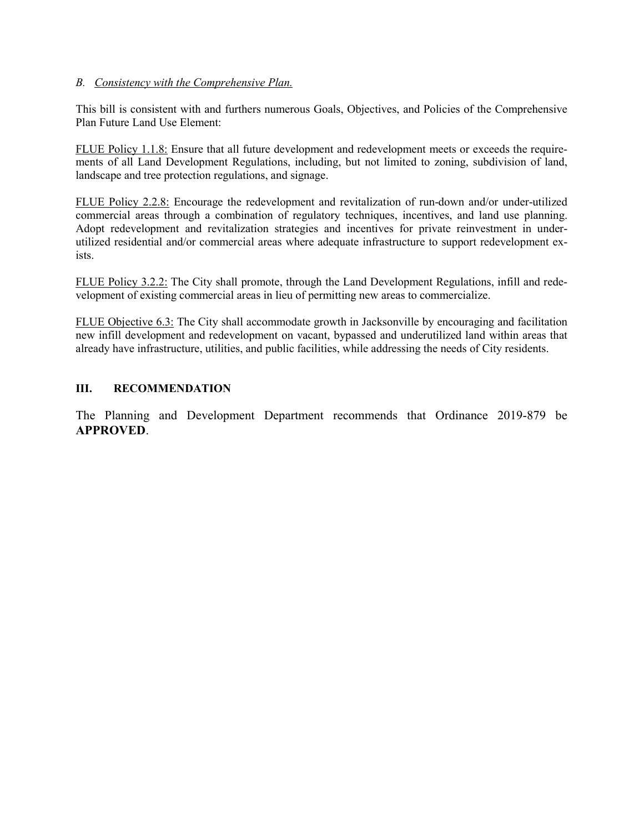#### B. Consistency with the Comprehensive Plan.

This bill is consistent with and furthers numerous Goals, Objectives, and Policies of the Comprehensive Plan Future Land Use Element:

FLUE Policy 1.1.8: Ensure that all future development and redevelopment meets or exceeds the requirements of all Land Development Regulations, including, but not limited to zoning, subdivision of land, landscape and tree protection regulations, and signage.

FLUE Policy 2.2.8: Encourage the redevelopment and revitalization of run-down and/or under-utilized commercial areas through a combination of regulatory techniques, incentives, and land use planning. Adopt redevelopment and revitalization strategies and incentives for private reinvestment in underutilized residential and/or commercial areas where adequate infrastructure to support redevelopment exists.

FLUE Policy 3.2.2: The City shall promote, through the Land Development Regulations, infill and redevelopment of existing commercial areas in lieu of permitting new areas to commercialize.

FLUE Objective 6.3: The City shall accommodate growth in Jacksonville by encouraging and facilitation new infill development and redevelopment on vacant, bypassed and underutilized land within areas that already have infrastructure, utilities, and public facilities, while addressing the needs of City residents.

## III. RECOMMENDATION

The Planning and Development Department recommends that Ordinance 2019-879 be APPROVED.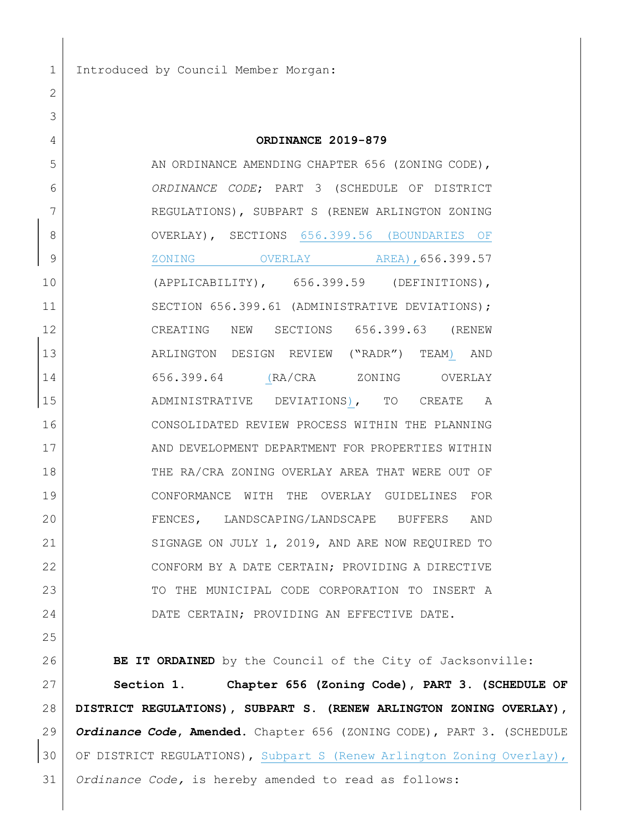1 Introduced by Council Member Morgan:

2

| 3  |                                                            |
|----|------------------------------------------------------------|
| 4  | ORDINANCE 2019-879                                         |
| 5  | AN ORDINANCE AMENDING CHAPTER 656 (ZONING CODE),           |
| 6  | ORDINANCE CODE; PART 3 (SCHEDULE OF DISTRICT               |
| 7  | REGULATIONS), SUBPART S (RENEW ARLINGTON ZONING            |
| 8  | OVERLAY), SECTIONS 656.399.56 (BOUNDARIES OF               |
| 9  |                                                            |
| 10 | (APPLICABILITY), 656.399.59 (DEFINITIONS),                 |
| 11 | SECTION 656.399.61 (ADMINISTRATIVE DEVIATIONS);            |
| 12 | CREATING NEW SECTIONS 656.399.63 (RENEW                    |
| 13 | ARLINGTON DESIGN REVIEW ("RADR") TEAM) AND                 |
| 14 | 656.399.64 (RA/CRA ZONING OVERLAY                          |
| 15 | ADMINISTRATIVE DEVIATIONS), TO CREATE A                    |
| 16 | CONSOLIDATED REVIEW PROCESS WITHIN THE PLANNING            |
| 17 | AND DEVELOPMENT DEPARTMENT FOR PROPERTIES WITHIN           |
| 18 | THE RA/CRA ZONING OVERLAY AREA THAT WERE OUT OF            |
| 19 | CONFORMANCE WITH THE OVERLAY GUIDELINES FOR                |
| 20 | FENCES, LANDSCAPING/LANDSCAPE BUFFERS AND                  |
| 21 | SIGNAGE ON JULY 1, 2019, AND ARE NOW REQUIRED TO           |
| 22 | CONFORM BY A DATE CERTAIN; PROVIDING A DIRECTIVE           |
| 23 | TO THE MUNICIPAL CODE CORPORATION TO INSERT A              |
| 24 | DATE CERTAIN; PROVIDING AN EFFECTIVE DATE.                 |
| 25 |                                                            |
| 26 | BE IT ORDAINED by the Council of the City of Jacksonville: |
| 27 | Section 1.<br>Chapter 656 (Zoning Code), PART 3. (SCHEDULE |

 $27$  Section 1. Chapter 656 (Zoning Code), PART 3. (SCHEDULE OF 28 DISTRICT REGULATIONS), SUBPART S. (RENEW ARLINGTON ZONING OVERLAY), 29 Ordinance Code, Amended. Chapter 656 (ZONING CODE), PART 3. (SCHEDULE 30 OF DISTRICT REGULATIONS), Subpart S (Renew Arlington Zoning Overlay), 31 | Ordinance Code, is hereby amended to read as follows: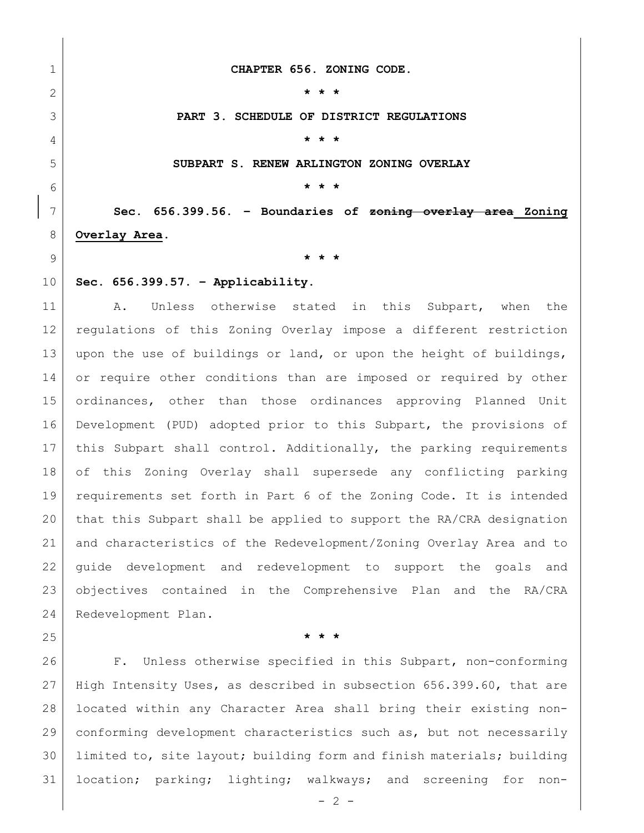1 CHAPTER 656. ZONING CODE.

2  $\vert$  \* \* \*

3 **PART 3. SCHEDULE OF DISTRICT REGULATIONS** 

4 **\* \* \* \*** 

5 SUBPART S. RENEW ARLINGTON ZONING OVERLAY

6  $\uparrow$  \* \* \*

 $7$  Sec. 656.399.56. – Boundaries of  $z$ oning overlay area Zoning 8 Overlay Area.

9  $\vert$  \* \* \*

 $10$  Sec. 656.399.57. - Applicability.

11 | A. Unless otherwise stated in this Subpart, when the 12 regulations of this Zoning Overlay impose a different restriction 13 upon the use of buildings or land, or upon the height of buildings, 14 or require other conditions than are imposed or required by other 15 ordinances, other than those ordinances approving Planned Unit 16 Development (PUD) adopted prior to this Subpart, the provisions of 17 this Subpart shall control. Additionally, the parking requirements 18 of this Zoning Overlay shall supersede any conflicting parking 19 requirements set forth in Part 6 of the Zoning Code. It is intended 20 that this Subpart shall be applied to support the RA/CRA designation 21 and characteristics of the Redevelopment/Zoning Overlay Area and to 22 guide development and redevelopment to support the goals and 23 objectives contained in the Comprehensive Plan and the RA/CRA 24 Redevelopment Plan.

25  $\vert$  \* \* \*

26 F. Unless otherwise specified in this Subpart, non-conforming 27 High Intensity Uses, as described in subsection 656.399.60, that are 28 located within any Character Area shall bring their existing non-29 conforming development characteristics such as, but not necessarily 30 limited to, site layout; building form and finish materials; building 31 location; parking; lighting; walkways; and screening for non-

 $- 2 -$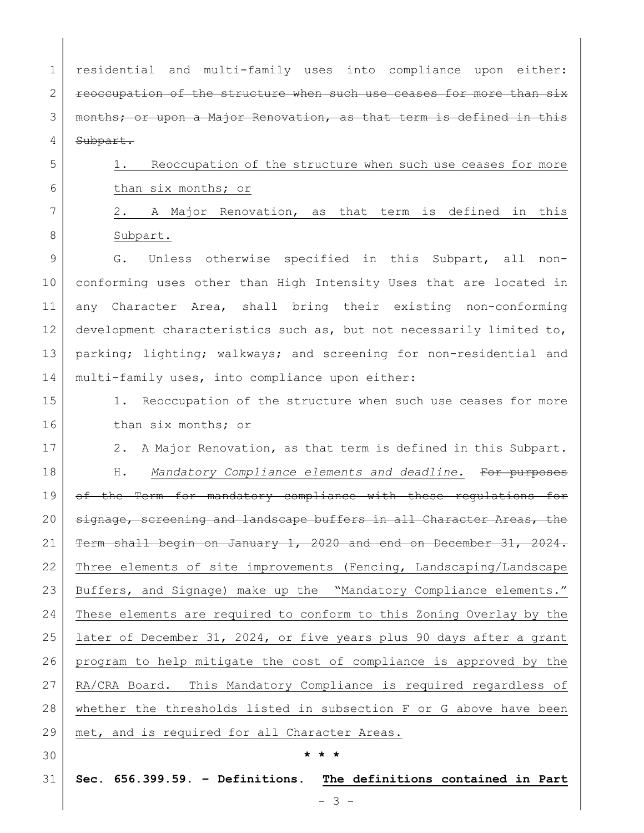1 residential and multi-family uses into compliance upon either:  $2$  reoccupation of the structure when such use ceases for more than  $s$ ix 3 | months; or upon a Major Renovation, as that term is defined in this 4 Subpart.

5 1. Reoccupation of the structure when such use ceases for more 6 than six months; or

7 2. A Major Renovation, as that term is defined in this 8 Subpart.

9 G. Unless otherwise specified in this Subpart, all non-10 conforming uses other than High Intensity Uses that are located in 11 any Character Area, shall bring their existing non-conforming 12 development characteristics such as, but not necessarily limited to, 13 | parking; lighting; walkways; and screening for non-residential and 14 | multi-family uses, into compliance upon either:

- 15 1. Reoccupation of the structure when such use ceases for more 16 than six months; or
- 17 2. A Major Renovation, as that term is defined in this Subpart. 18 | H. Mandatory Compliance elements and deadline. For purposes 19 of the Term for mandatory compliance with these regulations for 20 signage, screening and landscape buffers in all Character Areas, the 21  $\vert$  Term shall begin on January 1, 2020 and end on December 31, 2024. 22 Three elements of site improvements (Fencing, Landscaping/Landscape 23 Buffers, and Signage) make up the "Mandatory Compliance elements." 24 These elements are required to conform to this Zoning Overlay by the 25 later of December 31, 2024, or five years plus 90 days after a grant 26 program to help mitigate the cost of compliance is approved by the 27 RA/CRA Board. This Mandatory Compliance is required regardless of 28 whether the thresholds listed in subsection F or G above have been 29 | met, and is required for all Character Areas.
- 

## $30$   $\star \star \star$

 $31$  Sec. 656.399.59. - Definitions. The definitions contained in Part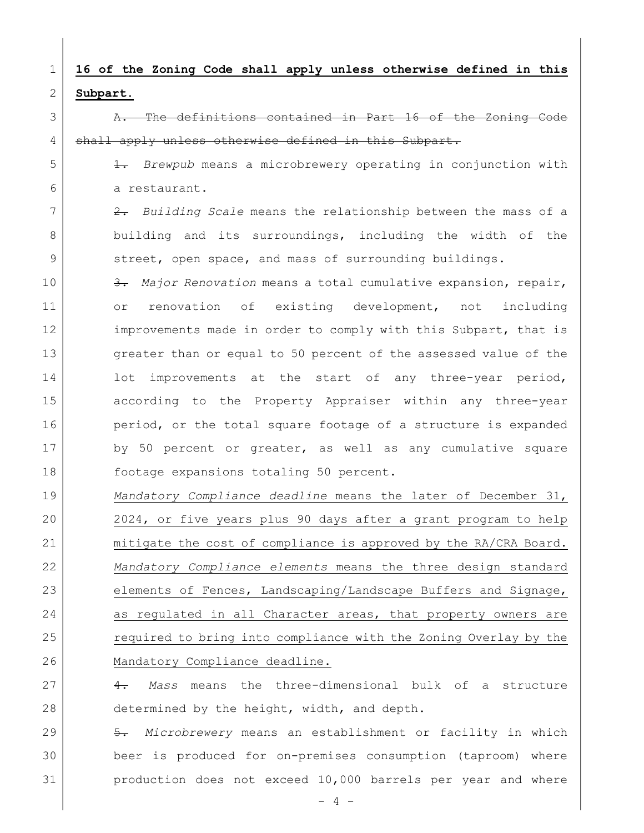# 1 | 16 of the Zoning Code shall apply unless otherwise defined in this 2 Subpart.

3 A. The definitions contained in Part 16 of the Zoning Code 4 shall apply unless otherwise defined in this Subpart.

 $5$  1. Brewpub means a microbrewery operating in conjunction with 6 a restaurant.

 $7$   $2.$  Building Scale means the relationship between the mass of a 8 building and its surroundings, including the width of the 9 street, open space, and mass of surrounding buildings.

10 3. Major Renovation means a total cumulative expansion, repair, 11 or renovation of existing development, not including 12 improvements made in order to comply with this Subpart, that is 13 greater than or equal to 50 percent of the assessed value of the 14 | lot improvements at the start of any three-year period, 15 according to the Property Appraiser within any three-year 16 period, or the total square footage of a structure is expanded 17 by 50 percent or greater, as well as any cumulative square 18 footage expansions totaling 50 percent.

19 Mandatory Compliance deadline means the later of December 31, 20 2024, or five years plus 90 days after a grant program to help 21 mitigate the cost of compliance is approved by the RA/CRA Board. 22 Mandatory Compliance elements means the three design standard 23 elements of Fences, Landscaping/Landscape Buffers and Signage, 24 as regulated in all Character areas, that property owners are 25 required to bring into compliance with the Zoning Overlay by the 26 Mandatory Compliance deadline.

 $27$   $4.$  Mass means the three-dimensional bulk of a structure 28 determined by the height, width, and depth.

29  $\vert$  5. Microbrewery means an establishment or facility in which 30 beer is produced for on-premises consumption (taproom) where 31 production does not exceed 10,000 barrels per year and where

 $- 4 -$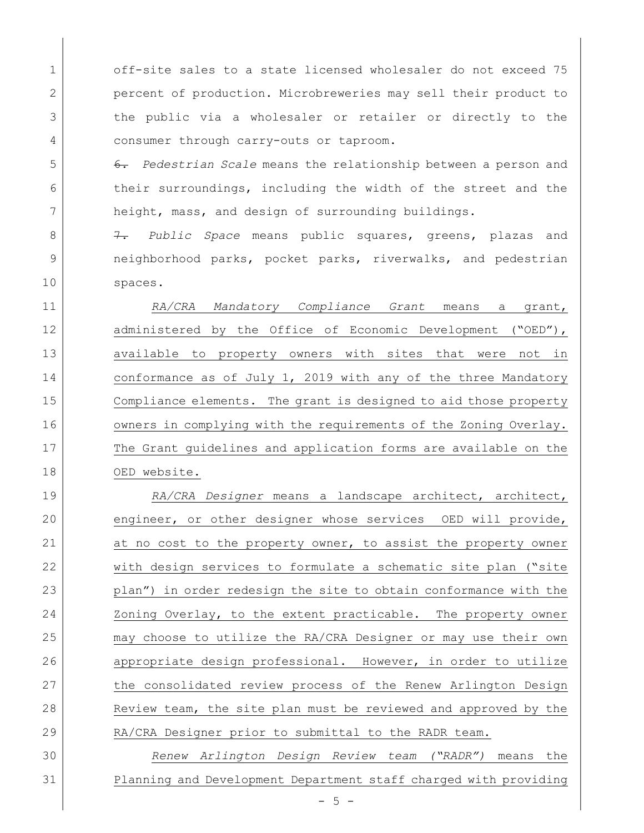1 off-site sales to a state licensed wholesaler do not exceed 75 2 percent of production. Microbreweries may sell their product to 3 the public via a wholesaler or retailer or directly to the 4 consumer through carry-outs or taproom.

 $5$  6. Pedestrian Scale means the relationship between a person and 6 their surroundings, including the width of the street and the 7 height, mass, and design of surrounding buildings.

8 3. 8 7. Public Space means public squares, greens, plazas and 9 10 neighborhood parks, pocket parks, riverwalks, and pedestrian 10 spaces.

11 | RA/CRA Mandatory Compliance Grant means a grant, 12 administered by the Office of Economic Development ("OED"), 13 available to property owners with sites that were not in 14 conformance as of July 1, 2019 with any of the three Mandatory 15 Compliance elements. The grant is designed to aid those property 16 owners in complying with the requirements of the Zoning Overlay. 17 The Grant guidelines and application forms are available on the 18 OED website.

19 | RA/CRA Designer means a landscape architect, architect, 20 engineer, or other designer whose services OED will provide, 21 at no cost to the property owner, to assist the property owner 22 with design services to formulate a schematic site plan ("site 23 plan") in order redesign the site to obtain conformance with the 24 Zoning Overlay, to the extent practicable. The property owner 25 may choose to utilize the RA/CRA Designer or may use their own 26 appropriate design professional. However, in order to utilize 27 the consolidated review process of the Renew Arlington Design 28 Review team, the site plan must be reviewed and approved by the 29 RA/CRA Designer prior to submittal to the RADR team.

30 Renew Arlington Design Review team ("RADR") means the 31 Planning and Development Department staff charged with providing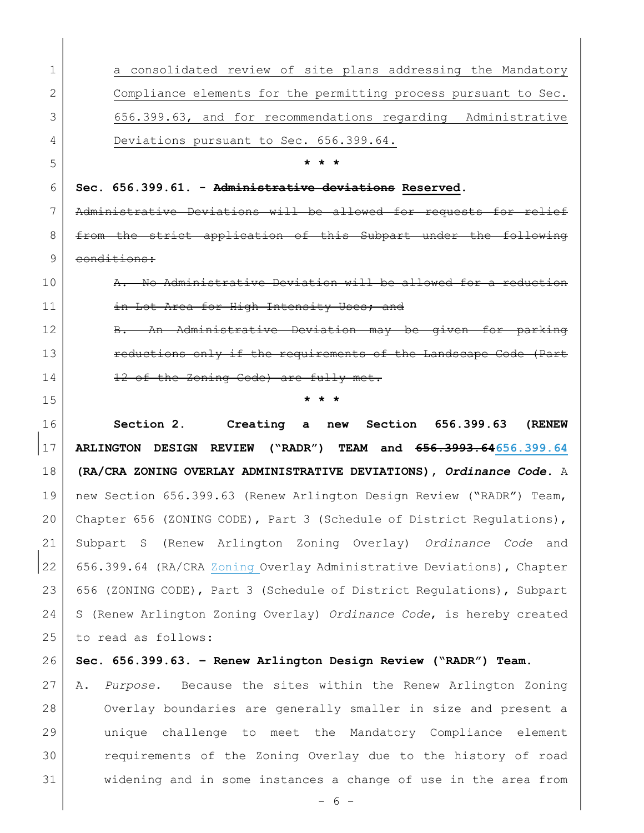| 1  | a consolidated review of site plans addressing the Mandatory          |
|----|-----------------------------------------------------------------------|
| 2  | Compliance elements for the permitting process pursuant to Sec.       |
| 3  | 656.399.63, and for recommendations regarding Administrative          |
| 4  | Deviations pursuant to Sec. 656.399.64.                               |
| 5  | * * *                                                                 |
| 6  | Sec. 656.399.61. - Administrative deviations Reserved.                |
| 7  | Administrative Deviations will be allowed for requests for relief     |
| 8  | from the strict application of this Subpart under the following       |
| 9  | conditions:                                                           |
| 10 | A. No Administrative Deviation will be allowed for a reduction        |
| 11 | in Lot Area for High Intensity Uses; and                              |
| 12 | B. An Administrative Deviation may be given for parking               |
| 13 | reductions only if the requirements of the Landscape Code (Part       |
| 14 | 12 of the Zoning Code) are fully met.                                 |
| 15 | * * *                                                                 |
| 16 | Section 2. Creating a new<br>Section 656.399.63<br>(RENEW             |
| 17 | ARLINGTON DESIGN REVIEW ("RADR") TEAM and 656.3993.64656.399.64       |
| 18 | (RA/CRA ZONING OVERLAY ADMINISTRATIVE DEVIATIONS), Ordinance Code. A  |
| 19 | new Section 656.399.63 (Renew Arlington Design Review ("RADR") Team,  |
| 20 | Chapter 656 (ZONING CODE), Part 3 (Schedule of District Regulations), |
| 21 | Subpart S (Renew Arlington Zoning Overlay) Ordinance Code and         |
| 22 | 656.399.64 (RA/CRA Zoning Overlay Administrative Deviations), Chapter |
| 23 | 656 (ZONING CODE), Part 3 (Schedule of District Regulations), Subpart |
| 24 | S (Renew Arlington Zoning Overlay) Ordinance Code, is hereby created  |
| 25 | to read as follows:                                                   |
| 26 | Sec. 656.399.63. - Renew Arlington Design Review ("RADR") Team.       |
| 27 | Purpose. Because the sites within the Renew Arlington Zoning<br>Α.    |
| 28 | Overlay boundaries are generally smaller in size and present a        |
| 29 | challenge to meet the Mandatory Compliance element<br>unique          |
|    |                                                                       |
| 30 | requirements of the Zoning Overlay due to the history of road         |
| 31 | widening and in some instances a change of use in the area from       |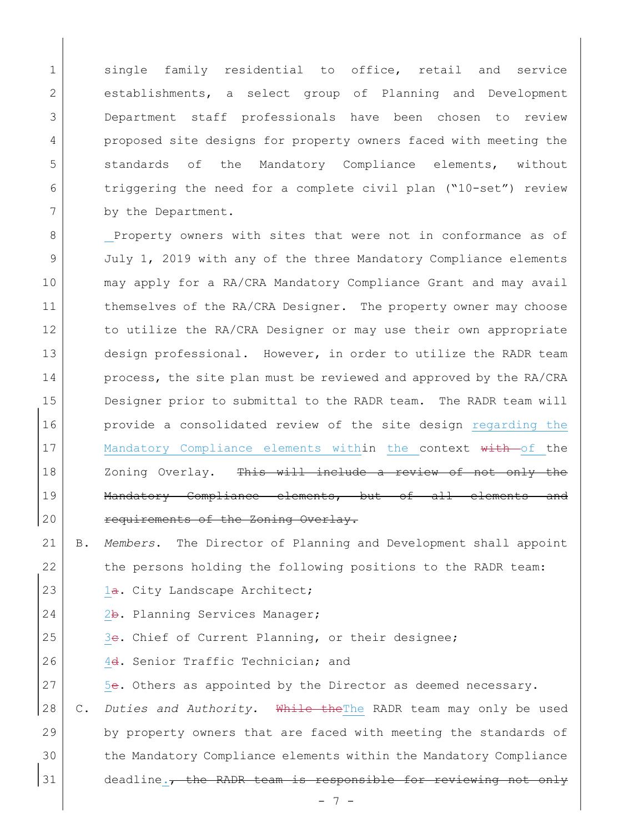1 single family residential to office, retail and service 2 establishments, a select group of Planning and Development 3 Department staff professionals have been chosen to review 4 proposed site designs for property owners faced with meeting the 5 Standards of the Mandatory Compliance elements, without 6 triggering the need for a complete civil plan ("10-set") review 7 by the Department.

8 Property owners with sites that were not in conformance as of 9 July 1, 2019 with any of the three Mandatory Compliance elements 10 may apply for a RA/CRA Mandatory Compliance Grant and may avail 11 themselves of the RA/CRA Designer. The property owner may choose 12 to utilize the RA/CRA Designer or may use their own appropriate 13 design professional. However, in order to utilize the RADR team 14 process, the site plan must be reviewed and approved by the RA/CRA 15 Designer prior to submittal to the RADR team. The RADR team will 16 **provide a consolidated review of the site design regarding the** 17 | Mandatory Compliance elements within the context with of the 18 | Zoning Overlay. <del>This will include a review of not only the</del> 19 | Mandatory Compliance elements, but of all elements and 20 requirements of the Zoning Overlay.

- 21 B. Members. The Director of Planning and Development shall appoint 22 the persons holding the following positions to the RADR team: 23  $1a.$  City Landscape Architect;
- 24 2b. Planning Services Manager;
- 25 3e. Chief of Current Planning, or their designee;
- 26 4d. Senior Traffic Technician; and
- 27 5e. Others as appointed by the Director as deemed necessary.
- 28 | C. Duties and Authority. While the The RADR team may only be used 29 by property owners that are faced with meeting the standards of 30 the Mandatory Compliance elements within the Mandatory Compliance  $31$  deadline., the RADR team is responsible for reviewing not only

- 7 -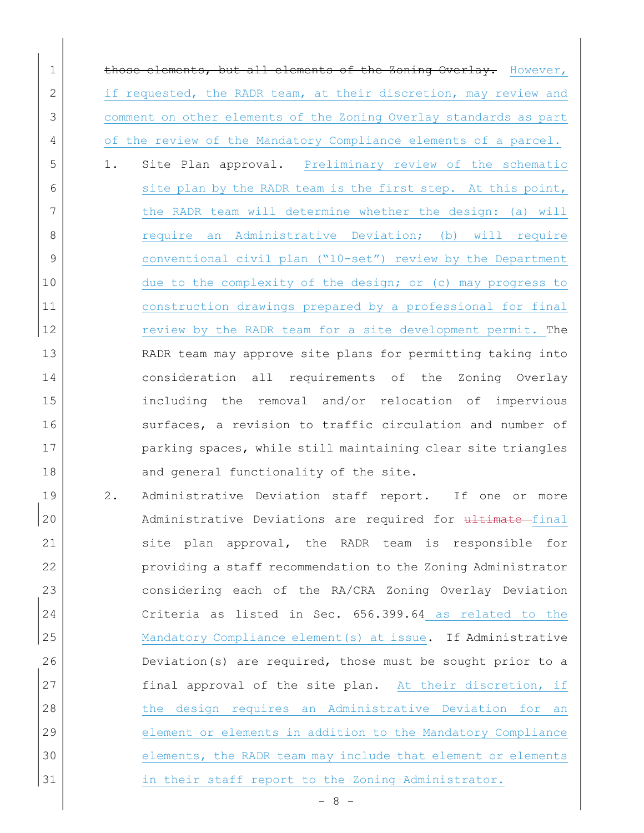1 those elements, but all elements of the Zoning Overlay. However, 2 if requested, the RADR team, at their discretion, may review and 3 comment on other elements of the Zoning Overlay standards as part 4 of the review of the Mandatory Compliance elements of a parcel.

5 1. Site Plan approval. Preliminary review of the schematic 6 site plan by the RADR team is the first step. At this point, 7 the RADR team will determine whether the design: (a) will 8 | Sequire an Administrative Deviation; (b) will require 9 conventional civil plan ("10-set") review by the Department 10 due to the complexity of the design; or (c) may progress to 11 construction drawings prepared by a professional for final 12 review by the RADR team for a site development permit. The 13 RADR team may approve site plans for permitting taking into 14 consideration all requirements of the Zoning Overlay 15 including the removal and/or relocation of impervious 16 surfaces, a revision to traffic circulation and number of 17 parking spaces, while still maintaining clear site triangles 18 and general functionality of the site.

19 2. Administrative Deviation staff report. If one or more 20 Administrative Deviations are required for ultimate final 21 site plan approval, the RADR team is responsible for 22 providing a staff recommendation to the Zoning Administrator 23 considering each of the RA/CRA Zoning Overlay Deviation 24 Criteria as listed in Sec. 656.399.64 as related to the 25 Mandatory Compliance element(s) at issue. If Administrative 26 Deviation(s) are required, those must be sought prior to a 27 final approval of the site plan. At their discretion, if 28 the design requires an Administrative Deviation for an 29 element or elements in addition to the Mandatory Compliance 30 elements, the RADR team may include that element or elements 31 in their staff report to the Zoning Administrator.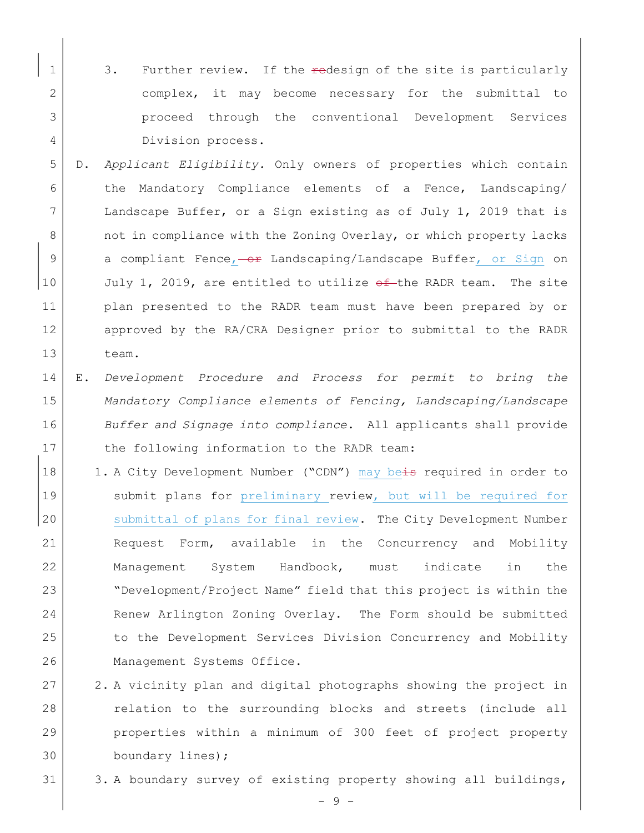- 1 3. Further review. If the redesign of the site is particularly 2 complex, it may become necessary for the submittal to 3 proceed through the conventional Development Services 4 Division process.
- 5 D. Applicant Eligibility. Only owners of properties which contain 6 the Mandatory Compliance elements of a Fence, Landscaping/  $7$  Landscape Buffer, or a Sign existing as of July 1, 2019 that is 8 not in compliance with the Zoning Overlay, or which property lacks 9 a compliant Fence, or Landscaping/Landscape Buffer, or Sign on 10 July 1, 2019, are entitled to utilize  $\Theta$   $\pm$  the RADR team. The site 11 | plan presented to the RADR team must have been prepared by or 12 approved by the RA/CRA Designer prior to submittal to the RADR 13 team.
- 14 E. Development Procedure and Process for permit to bring the 15 Mandatory Compliance elements of Fencing, Landscaping/Landscape 16 Buffer and Signage into compliance. All applicants shall provide 17 the following information to the RADR team:
- 18 1. A City Development Number ("CDN") may beis required in order to 19 Submit plans for preliminary review, but will be required for 20 submittal of plans for final review. The City Development Number 21 Request Form, available in the Concurrency and Mobility 22 | Management System Handbook, must indicate in the 23 "Development/Project Name" field that this project is within the 24 Renew Arlington Zoning Overlay. The Form should be submitted 25 | to the Development Services Division Concurrency and Mobility 26 | Management Systems Office.
- 27 2. A vicinity plan and digital photographs showing the project in 28 relation to the surrounding blocks and streets (include all 29 properties within a minimum of 300 feet of project property 30 boundary lines);
- 31 3. A boundary survey of existing property showing all buildings,

- 9 -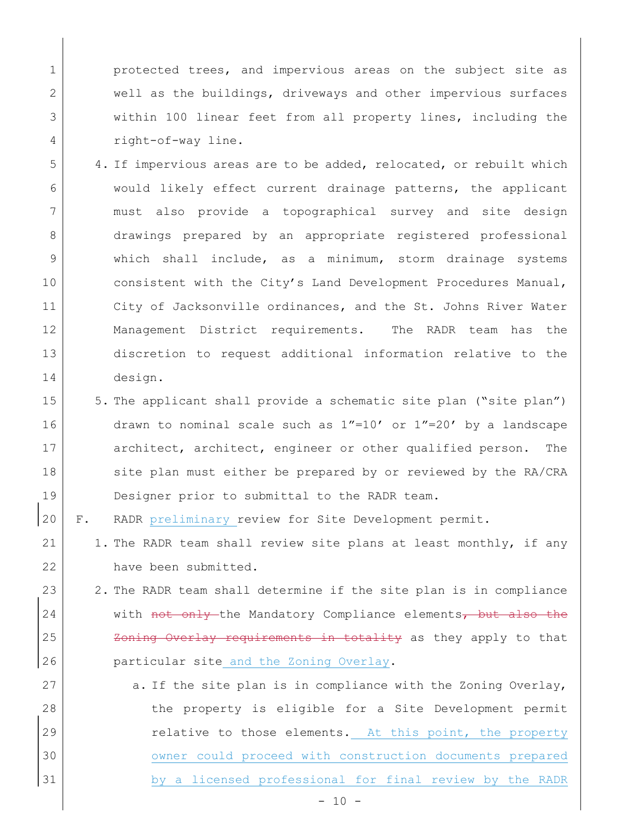1 **protected trees, and impervious areas on the subject site as** 2 well as the buildings, driveways and other impervious surfaces 3 within 100 linear feet from all property lines, including the 4 right-of-way line.

- 5 4. If impervious areas are to be added, relocated, or rebuilt which 6 would likely effect current drainage patterns, the applicant 7 must also provide a topographical survey and site design 8 drawings prepared by an appropriate registered professional 9 which shall include, as a minimum, storm drainage systems 10 consistent with the City's Land Development Procedures Manual, 11 City of Jacksonville ordinances, and the St. Johns River Water 12 | Management District requirements. The RADR team has the 13 discretion to request additional information relative to the 14 design.
- 15 5. The applicant shall provide a schematic site plan ("site plan") 16 drawn to nominal scale such as  $1"=10'$  or  $1"=20'$  by a landscape 17 architect, architect, engineer or other qualified person. The 18 site plan must either be prepared by or reviewed by the RA/CRA 19 Designer prior to submittal to the RADR team.
- 20 F. RADR preliminary review for Site Development permit.
- 21 | 1. The RADR team shall review site plans at least monthly, if any 22 have been submitted.
- 23 2. The RADR team shall determine if the site plan is in compliance 24 with not only the Mandatory Compliance elements, but also the 25 Zoning Overlay requirements in totality as they apply to that 26 **particular site and the Zoning Overlay.**
- 27  $\vert$  a. If the site plan is in compliance with the Zoning Overlay, 28 the property is eligible for a Site Development permit 29 | Telative to those elements. At this point, the property 30 | OWNER COULD proceed with construction documents prepared 31 by a licensed professional for final review by the RADR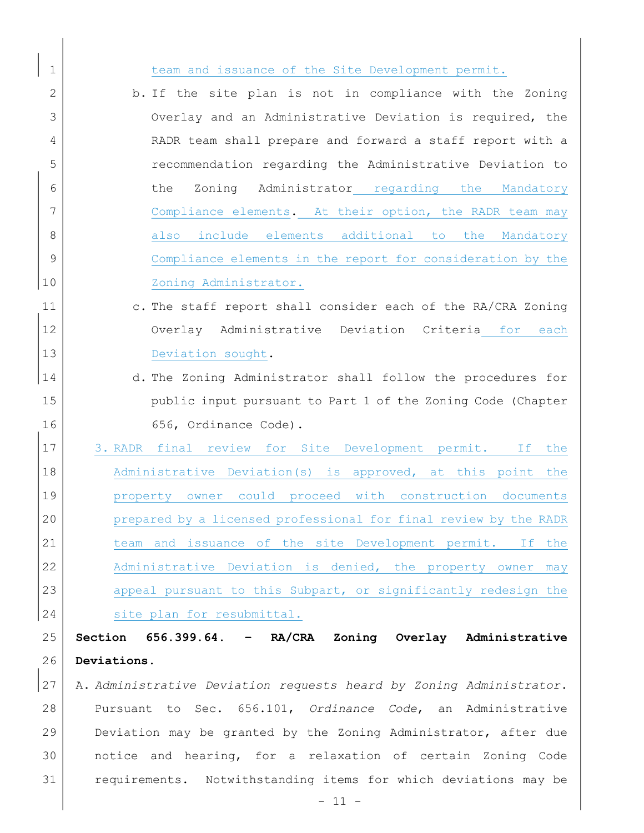| 1  | team and issuance of the Site Development permit.                   |
|----|---------------------------------------------------------------------|
| 2  | b. If the site plan is not in compliance with the Zoning            |
| 3  | Overlay and an Administrative Deviation is required, the            |
| 4  | RADR team shall prepare and forward a staff report with a           |
| 5  | recommendation regarding the Administrative Deviation to            |
| 6  | Zoning Administrator regarding the Mandatory<br>the                 |
| 7  | Compliance elements. At their option, the RADR team may             |
| 8  | also include elements additional to the Mandatory                   |
| 9  | Compliance elements in the report for consideration by the          |
| 10 | Zoning Administrator.                                               |
| 11 | c. The staff report shall consider each of the RA/CRA Zoning        |
| 12 | Overlay Administrative Deviation Criteria for each                  |
| 13 | Deviation sought.                                                   |
| 14 | d. The Zoning Administrator shall follow the procedures for         |
| 15 | public input pursuant to Part 1 of the Zoning Code (Chapter         |
| 16 | 656, Ordinance Code).                                               |
| 17 | 3. RADR final review for Site Development permit. If the            |
| 18 | Administrative Deviation(s) is approved, at this point the          |
| 19 | property owner could proceed with construction documents            |
| 20 | prepared by a licensed professional for final review by the RADR    |
| 21 | team and issuance of the site Development permit. If the            |
| 22 | Administrative Deviation is denied, the property owner may          |
| 23 | appeal pursuant to this Subpart, or significantly redesign the      |
| 24 | site plan for resubmittal.                                          |
| 25 | Section 656.399.64. - RA/CRA Zoning Overlay Administrative          |
| 26 | Deviations.                                                         |
| 27 |                                                                     |
|    | A. Administrative Deviation requests heard by Zoning Administrator. |
| 28 | Pursuant to Sec. 656.101, Ordinance Code, an Administrative         |
| 29 | Deviation may be granted by the Zoning Administrator, after due     |
| 30 | notice and hearing, for a relaxation of certain Zoning Code         |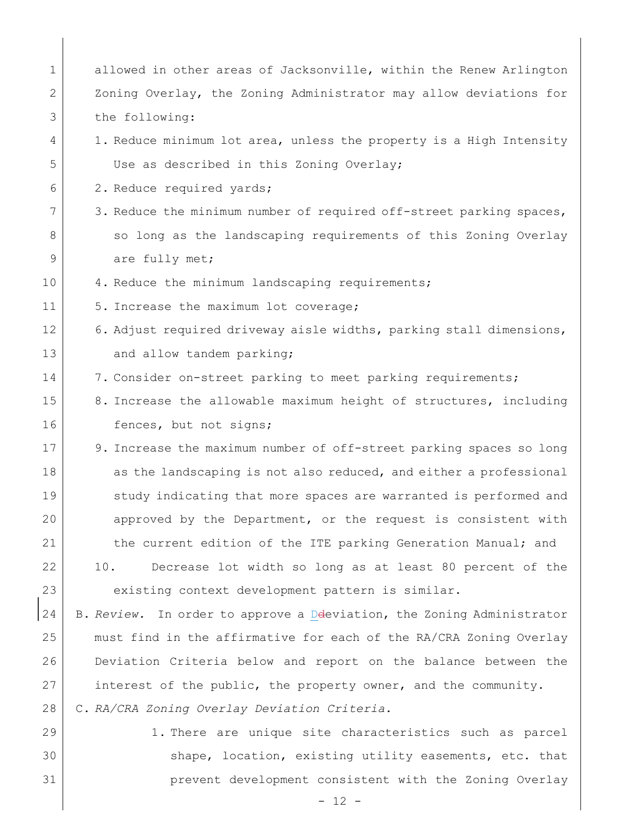| $\mathbf 1$ | allowed in other areas of Jacksonville, within the Renew Arlington     |
|-------------|------------------------------------------------------------------------|
| 2           | Zoning Overlay, the Zoning Administrator may allow deviations for      |
| 3           | the following:                                                         |
| 4           | 1. Reduce minimum lot area, unless the property is a High Intensity    |
| 5           | Use as described in this Zoning Overlay;                               |
| 6           | 2. Reduce required yards;                                              |
| 7           | 3. Reduce the minimum number of required off-street parking spaces,    |
| 8           | so long as the landscaping requirements of this Zoning Overlay         |
| 9           | are fully met;                                                         |
| 10          | 4. Reduce the minimum landscaping requirements;                        |
| 11          | 5. Increase the maximum lot coverage;                                  |
| 12          | 6. Adjust required driveway aisle widths, parking stall dimensions,    |
| 13          | and allow tandem parking;                                              |
| 14          | 7. Consider on-street parking to meet parking requirements;            |
| 15          | 8. Increase the allowable maximum height of structures, including      |
| 16          | fences, but not signs;                                                 |
| 17          | 9. Increase the maximum number of off-street parking spaces so long    |
| 18          | as the landscaping is not also reduced, and either a professional      |
| 19          | study indicating that more spaces are warranted is performed and       |
| 20          | approved by the Department, or the request is consistent with          |
| 21          | the current edition of the ITE parking Generation Manual; and          |
| 22          | Decrease lot width so long as at least 80 percent of the<br>10.        |
| 23          | existing context development pattern is similar.                       |
| 24          | B. Review. In order to approve a Deleviation, the Zoning Administrator |
| 25          | must find in the affirmative for each of the RA/CRA Zoning Overlay     |
| 26          | Deviation Criteria below and report on the balance between the         |
| 27          | interest of the public, the property owner, and the community.         |
| 28          | C. RA/CRA Zoning Overlay Deviation Criteria.                           |
| 29          | 1. There are unique site characteristics such as parcel                |

 $\overline{\phantom{a}}$ 

 $30$  shape, location, existing utility easements, etc. that 31 | Prevent development consistent with the Zoning Overlay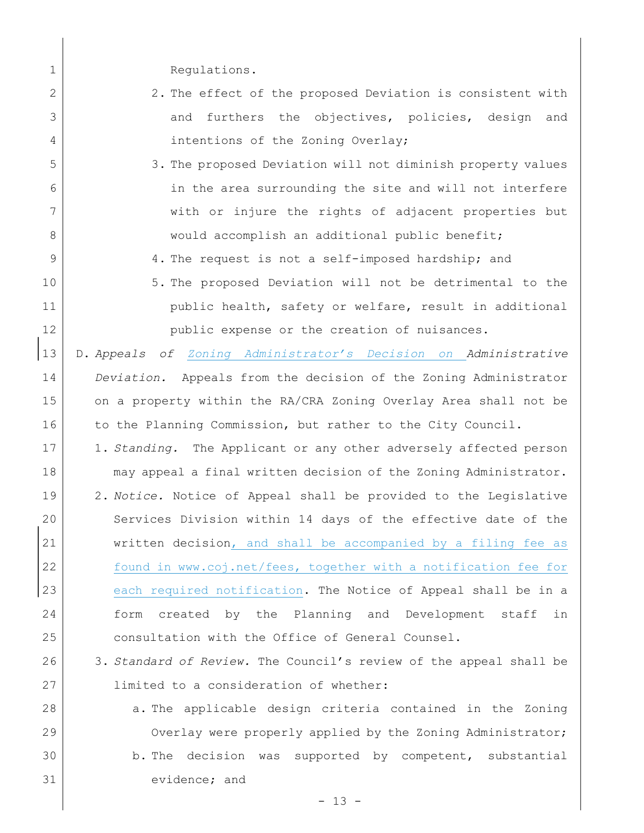1 Regulations.

- 2 2. The effect of the proposed Deviation is consistent with 3 and furthers the objectives, policies, design and 4 intentions of the Zoning Overlay;
- 5 3. The proposed Deviation will not diminish property values 6 in the area surrounding the site and will not interfere 7 with or injure the rights of adjacent properties but 8 | would accomplish an additional public benefit;
- 9 4. The request is not a self-imposed hardship; and
- 10 5. The proposed Deviation will not be detrimental to the 11 | public health, safety or welfare, result in additional 12 public expense or the creation of nuisances.
- 13 | D. Appeals of Zoning Administrator's Decision on Administrative 14 Deviation. Appeals from the decision of the Zoning Administrator 15 on a property within the RA/CRA Zoning Overlay Area shall not be 16 to the Planning Commission, but rather to the City Council.
- 17 1. Standing. The Applicant or any other adversely affected person 18 may appeal a final written decision of the Zoning Administrator. 19 2. Notice. Notice of Appeal shall be provided to the Legislative 20 Services Division within 14 days of the effective date of the 21 written decision, and shall be accompanied by a filing fee as 22 | found in www.coj.net/fees, together with a notification fee for 23 each required notification. The Notice of Appeal shall be in a 24 form created by the Planning and Development staff in 25 consultation with the Office of General Counsel.
- 26 3. Standard of Review. The Council's review of the appeal shall be 27 limited to a consideration of whether:
- 28 a. The applicable design criteria contained in the Zoning 29 Overlay were properly applied by the Zoning Administrator; 30 b. The decision was supported by competent, substantial 31 evidence; and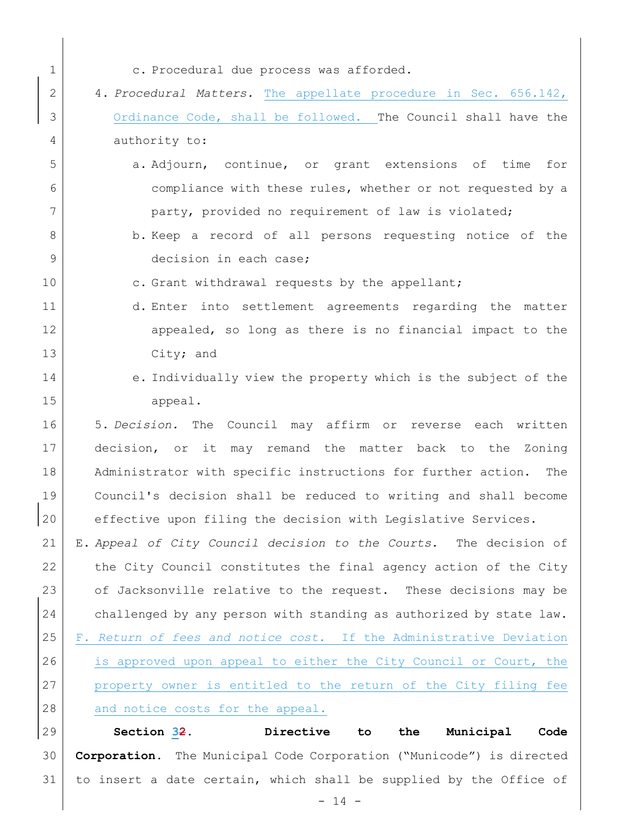1 c. Procedural due process was afforded. 2 4. Procedural Matters. The appellate procedure in Sec. 656.142, 3 Ordinance Code, shall be followed. The Council shall have the 4 authority to: 5 **5 b** a. Adjourn, continue, or grant extensions of time for 6 6 compliance with these rules, whether or not requested by a 7 party, provided no requirement of law is violated; 8 b. Keep a record of all persons requesting notice of the 9 decision in each case; 10 c. Grant withdrawal requests by the appellant; 11 d. Enter into settlement agreements regarding the matter 12 appealed, so long as there is no financial impact to the 13 City; and 14 e. Individually view the property which is the subject of the 15 appeal. 16 5. Decision. The Council may affirm or reverse each written 17 decision, or it may remand the matter back to the Zoning 18 | Administrator with specific instructions for further action. The 19 Council's decision shall be reduced to writing and shall become 20 effective upon filing the decision with Legislative Services. 21 | E. Appeal of City Council decision to the Courts. The decision of  $22$  the City Council constitutes the final agency action of the City 23 of Jacksonville relative to the request. These decisions may be 24 challenged by any person with standing as authorized by state law. 25 | F. Return of fees and notice cost. If the Administrative Deviation 26 is approved upon appeal to either the City Council or Court, the 27 property owner is entitled to the return of the City filing fee 28 and notice costs for the appeal. 29 Section 32. Directive to the Municipal Code 30 | Corporation. The Municipal Code Corporation ("Municode") is directed

31 to insert a date certain, which shall be supplied by the Office of